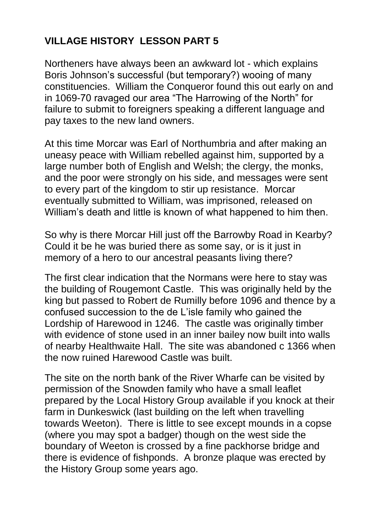## **VILLAGE HISTORY LESSON PART 5**

Northeners have always been an awkward lot - which explains Boris Johnson's successful (but temporary?) wooing of many constituencies. William the Conqueror found this out early on and in 1069-70 ravaged our area "The Harrowing of the North" for failure to submit to foreigners speaking a different language and pay taxes to the new land owners.

At this time Morcar was Earl of Northumbria and after making an uneasy peace with William rebelled against him, supported by a large number both of English and Welsh; the clergy, the monks, and the poor were strongly on his side, and messages were sent to every part of the kingdom to stir up resistance. Morcar eventually submitted to William, was imprisoned, released on William's death and little is known of what happened to him then.

So why is there Morcar Hill just off the Barrowby Road in Kearby? Could it be he was buried there as some say, or is it just in memory of a hero to our ancestral peasants living there?

The first clear indication that the Normans were here to stay was the building of Rougemont Castle. This was originally held by the king but passed to Robert de Rumilly before 1096 and thence by a confused succession to the de L'isle family who gained the Lordship of Harewood in 1246. The castle was originally timber with evidence of stone used in an inner bailey now built into walls of nearby Healthwaite Hall. The site was abandoned c 1366 when the now ruined Harewood Castle was built.

The site on the north bank of the River Wharfe can be visited by permission of the Snowden family who have a small leaflet prepared by the Local History Group available if you knock at their farm in Dunkeswick (last building on the left when travelling towards Weeton). There is little to see except mounds in a copse (where you may spot a badger) though on the west side the boundary of Weeton is crossed by a fine packhorse bridge and there is evidence of fishponds. A bronze plaque was erected by the History Group some years ago.